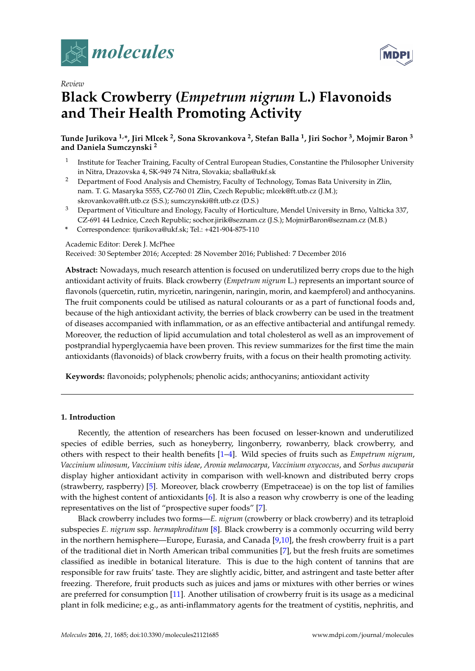

*Review*





# **Black Crowberry (***Empetrum nigrum* **L.) Flavonoids and Their Health Promoting Activity**

**Tunde Jurikova 1,\*, Jiri Mlcek <sup>2</sup> , Sona Skrovankova <sup>2</sup> , Stefan Balla <sup>1</sup> , Jiri Sochor <sup>3</sup> , Mojmir Baron <sup>3</sup> and Daniela Sumczynski <sup>2</sup>**

- 1 Institute for Teacher Training, Faculty of Central European Studies, Constantine the Philosopher University in Nitra, Drazovska 4, SK-949 74 Nitra, Slovakia; sballa@ukf.sk
- <sup>2</sup> Department of Food Analysis and Chemistry, Faculty of Technology, Tomas Bata University in Zlin, nam. T. G. Masaryka 5555, CZ-760 01 Zlin, Czech Republic; mlcek@ft.utb.cz (J.M.); skrovankova@ft.utb.cz (S.S.); sumczynski@ft.utb.cz (D.S.)
- <sup>3</sup> Department of Viticulture and Enology, Faculty of Horticulture, Mendel University in Brno, Valticka 337, CZ-691 44 Lednice, Czech Republic; sochor.jirik@seznam.cz (J.S.); MojmirBaron@seznam.cz (M.B.)
- **\*** Correspondence: tjurikova@ukf.sk; Tel.: +421-904-875-110

## Academic Editor: Derek J. McPhee

Received: 30 September 2016; Accepted: 28 November 2016; Published: 7 December 2016

**Abstract:** Nowadays, much research attention is focused on underutilized berry crops due to the high antioxidant activity of fruits. Black crowberry (*Empetrum nigrum* L.) represents an important source of flavonols (quercetin, rutin, myricetin, naringenin, naringin, morin, and kaempferol) and anthocyanins. The fruit components could be utilised as natural colourants or as a part of functional foods and, because of the high antioxidant activity, the berries of black crowberry can be used in the treatment of diseases accompanied with inflammation, or as an effective antibacterial and antifungal remedy. Moreover, the reduction of lipid accumulation and total cholesterol as well as an improvement of postprandial hyperglycaemia have been proven. This review summarizes for the first time the main antioxidants (flavonoids) of black crowberry fruits, with a focus on their health promoting activity.

**Keywords:** flavonoids; polyphenols; phenolic acids; anthocyanins; antioxidant activity

## **1. Introduction**

Recently, the attention of researchers has been focused on lesser-known and underutilized species of edible berries, such as honeyberry, lingonberry, rowanberry, black crowberry, and others with respect to their health benefits [\[1](#page-7-0)[–4\]](#page-8-0). Wild species of fruits such as *Empetrum nigrum*, *Vaccinium ulinosum*, *Vaccinium vitis ideae*, *Aronia melanocarpa*, *Vaccinium oxycoccus*, and *Sorbus aucuparia* display higher antioxidant activity in comparison with well-known and distributed berry crops (strawberry, raspberry) [\[5\]](#page-8-1). Moreover, black crowberry (Empetraceae) is on the top list of families with the highest content of antioxidants [\[6\]](#page-8-2). It is also a reason why crowberry is one of the leading representatives on the list of "prospective super foods" [\[7\]](#page-8-3).

Black crowberry includes two forms—*E. nigrum* (crowberry or black crowberry) and its tetraploid subspecies *E. nigrum* ssp. *hermaphroditum* [\[8\]](#page-8-4). Black crowberry is a commonly occurring wild berry in the northern hemisphere—Europe, Eurasia, and Canada [\[9](#page-8-5)[,10\]](#page-8-6), the fresh crowberry fruit is a part of the traditional diet in North American tribal communities [\[7\]](#page-8-3), but the fresh fruits are sometimes classified as inedible in botanical literature. This is due to the high content of tannins that are responsible for raw fruits' taste. They are slightly acidic, bitter, and astringent and taste better after freezing. Therefore, fruit products such as juices and jams or mixtures with other berries or wines are preferred for consumption [\[11\]](#page-8-7). Another utilisation of crowberry fruit is its usage as a medicinal plant in folk medicine; e.g., as anti-inflammatory agents for the treatment of cystitis, nephritis, and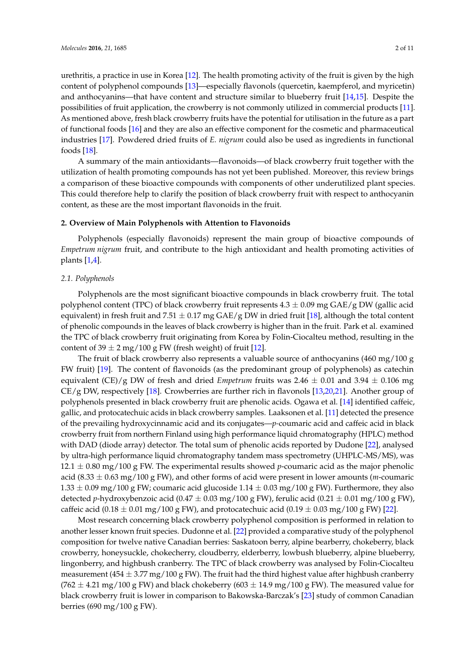urethritis, a practice in use in Korea [\[12\]](#page-8-8). The health promoting activity of the fruit is given by the high content of polyphenol compounds [\[13\]](#page-8-9)—especially flavonols (quercetin, kaempferol, and myricetin) and anthocyanins—that have content and structure similar to blueberry fruit [\[14](#page-8-10)[,15\]](#page-8-11). Despite the possibilities of fruit application, the crowberry is not commonly utilized in commercial products [\[11\]](#page-8-7). As mentioned above, fresh black crowberry fruits have the potential for utilisation in the future as a part of functional foods [\[16\]](#page-8-12) and they are also an effective component for the cosmetic and pharmaceutical industries [\[17\]](#page-8-13). Powdered dried fruits of *E. nigrum* could also be used as ingredients in functional foods [\[18\]](#page-8-14).

A summary of the main antioxidants—flavonoids—of black crowberry fruit together with the utilization of health promoting compounds has not yet been published. Moreover, this review brings a comparison of these bioactive compounds with components of other underutilized plant species. This could therefore help to clarify the position of black crowberry fruit with respect to anthocyanin content, as these are the most important flavonoids in the fruit.

#### **2. Overview of Main Polyphenols with Attention to Flavonoids**

Polyphenols (especially flavonoids) represent the main group of bioactive compounds of *Empetrum nigrum* fruit, and contribute to the high antioxidant and health promoting activities of plants [\[1,](#page-7-0)[4\]](#page-8-0).

#### *2.1. Polyphenols*

Polyphenols are the most significant bioactive compounds in black crowberry fruit. The total polyphenol content (TPC) of black crowberry fruit represents  $4.3 \pm 0.09$  mg GAE/g DW (gallic acid equivalent) in fresh fruit and 7.51  $\pm$  0.17 mg GAE/g DW in dried fruit [\[18\]](#page-8-14), although the total content of phenolic compounds in the leaves of black crowberry is higher than in the fruit. Park et al. examined the TPC of black crowberry fruit originating from Korea by Folin-Ciocalteu method, resulting in the content of  $39 \pm 2$  mg/100 g FW (fresh weight) of fruit [\[12\]](#page-8-8).

The fruit of black crowberry also represents a valuable source of anthocyanins (460 mg/100 g FW fruit) [\[19\]](#page-8-15). The content of flavonoids (as the predominant group of polyphenols) as catechin equivalent (CE)/g DW of fresh and dried *Empetrum* fruits was  $2.46 \pm 0.01$  and  $3.94 \pm 0.106$  mg CE/g DW, respectively [\[18\]](#page-8-14). Crowberries are further rich in flavonols [\[13](#page-8-9)[,20](#page-8-16)[,21\]](#page-8-17). Another group of polyphenols presented in black crowberry fruit are phenolic acids. Ogawa et al. [\[14\]](#page-8-10) identified caffeic, gallic, and protocatechuic acids in black crowberry samples. Laaksonen et al. [\[11\]](#page-8-7) detected the presence of the prevailing hydroxycinnamic acid and its conjugates—*p-*coumaric acid and caffeic acid in black crowberry fruit from northern Finland using high performance liquid chromatography (HPLC) method with DAD (diode array) detector. The total sum of phenolic acids reported by Dudone [\[22\]](#page-8-18), analysed by ultra-high performance liquid chromatography tandem mass spectrometry (UHPLC-MS/MS), was  $12.1 \pm 0.80$  mg/100 g FW. The experimental results showed *p*-coumaric acid as the major phenolic acid (8.33 ± 0.63 mg/100 g FW), and other forms of acid were present in lower amounts (*m*-coumaric  $1.33 \pm 0.09$  mg/100 g FW; coumaric acid glucoside  $1.14 \pm 0.03$  mg/100 g FW). Furthermore, they also detected *p*-hydroxybenzoic acid (0.47  $\pm$  0.03 mg/100 g FW), ferulic acid (0.21  $\pm$  0.01 mg/100 g FW), caffeic acid (0.18  $\pm$  0.01 mg/100 g FW), and protocatechuic acid (0.19  $\pm$  0.03 mg/100 g FW) [\[22\]](#page-8-18).

Most research concerning black crowberry polyphenol composition is performed in relation to another lesser known fruit species. Dudonne et al. [\[22\]](#page-8-18) provided a comparative study of the polyphenol composition for twelve native Canadian berries: Saskatoon berry, alpine bearberry, chokeberry, black crowberry, honeysuckle, chokecherry, cloudberry, elderberry, lowbush blueberry, alpine blueberry, lingonberry, and highbush cranberry. The TPC of black crowberry was analysed by Folin-Ciocalteu measurement (454  $\pm$  3.77 mg/100 g FW). The fruit had the third highest value after highbush cranberry  $(762 \pm 4.21 \text{ mg}/100 \text{ g}$  FW) and black chokeberry  $(603 \pm 14.9 \text{ mg}/100 \text{ g}$  FW). The measured value for black crowberry fruit is lower in comparison to Bakowska-Barczak's [\[23\]](#page-9-0) study of common Canadian berries (690 mg/100 g FW).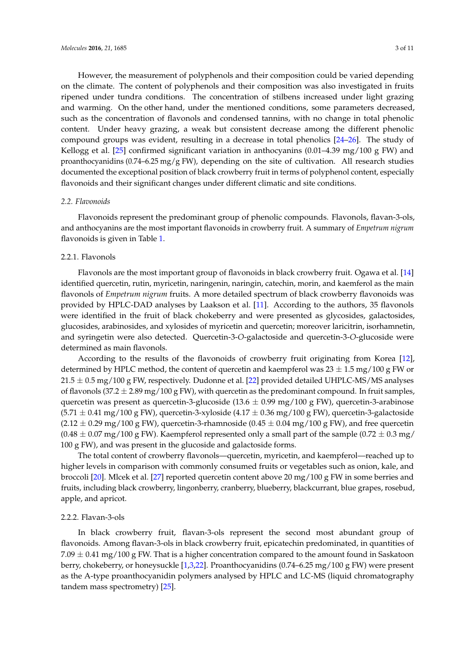However, the measurement of polyphenols and their composition could be varied depending on the climate. The content of polyphenols and their composition was also investigated in fruits ripened under tundra conditions. The concentration of stilbens increased under light grazing and warming. On the other hand, under the mentioned conditions, some parameters decreased, such as the concentration of flavonols and condensed tannins, with no change in total phenolic content. Under heavy grazing, a weak but consistent decrease among the different phenolic compound groups was evident, resulting in a decrease in total phenolics [\[24–](#page-9-1)[26\]](#page-9-2). The study of Kellogg et al. [\[25\]](#page-9-3) confirmed significant variation in anthocyanins (0.01–4.39 mg/100 g FW) and proanthocyanidins  $(0.74-6.25 \text{ mg/g FW})$ , depending on the site of cultivation. All research studies documented the exceptional position of black crowberry fruit in terms of polyphenol content, especially flavonoids and their significant changes under different climatic and site conditions.

### *2.2. Flavonoids*

Flavonoids represent the predominant group of phenolic compounds. Flavonols, flavan-3-ols, and anthocyanins are the most important flavonoids in crowberry fruit. A summary of *Empetrum nigrum* flavonoids is given in Table [1.](#page-3-0)

## 2.2.1. Flavonols

Flavonols are the most important group of flavonoids in black crowberry fruit. Ogawa et al. [\[14\]](#page-8-10) identified quercetin, rutin, myricetin, naringenin, naringin, catechin, morin, and kaemferol as the main flavonols of *Empetrum nigrum* fruits. A more detailed spectrum of black crowberry flavonoids was provided by HPLC-DAD analyses by Laakson et al. [\[11\]](#page-8-7). According to the authors, 35 flavonols were identified in the fruit of black chokeberry and were presented as glycosides, galactosides, glucosides, arabinosides, and xylosides of myricetin and quercetin; moreover laricitrin, isorhamnetin, and syringetin were also detected. Quercetin-3-*O*-galactoside and quercetin-3-*O*-glucoside were determined as main flavonols.

According to the results of the flavonoids of crowberry fruit originating from Korea [\[12\]](#page-8-8), determined by HPLC method, the content of quercetin and kaempferol was  $23 \pm 1.5$  mg/100 g FW or  $21.5 \pm 0.5$  mg/100 g FW, respectively. Dudonne et al. [\[22\]](#page-8-18) provided detailed UHPLC-MS/MS analyses of flavonols (37.2  $\pm$  2.89 mg/100 g FW), with quercetin as the predominant compound. In fruit samples, quercetin was present as quercetin-3-glucoside (13.6  $\pm$  0.99 mg/100 g FW), quercetin-3-arabinose  $(5.71 \pm 0.41 \text{ mg}/100 \text{ g} \text{ FW})$ , quercetin-3-xyloside  $(4.17 \pm 0.36 \text{ mg}/100 \text{ g} \text{ FW})$ , quercetin-3-galactoside  $(2.12 \pm 0.29 \,\text{mg}/100 \,\text{g} \text{FW})$ , quercetin-3-rhamnoside  $(0.45 \pm 0.04 \,\text{mg}/100 \,\text{g} \text{FW})$ , and free quercetin  $(0.48 \pm 0.07 \text{ mg}/100 \text{ g}$  FW). Kaempferol represented only a small part of the sample  $(0.72 \pm 0.3 \text{ mg}/100 \text{ g}$ 100 g FW), and was present in the glucoside and galactoside forms.

The total content of crowberry flavonols—quercetin, myricetin, and kaempferol—reached up to higher levels in comparison with commonly consumed fruits or vegetables such as onion, kale, and broccoli [\[20\]](#page-8-16). Mlcek et al. [\[27\]](#page-9-4) reported quercetin content above 20 mg/100 g FW in some berries and fruits, including black crowberry, lingonberry, cranberry, blueberry, blackcurrant, blue grapes, rosebud, apple, and apricot.

#### 2.2.2. Flavan-3-ols

In black crowberry fruit, flavan-3-ols represent the second most abundant group of flavonoids. Among flavan-3-ols in black crowberry fruit, epicatechin predominated, in quantities of  $7.09 \pm 0.41$  mg/100 g FW. That is a higher concentration compared to the amount found in Saskatoon berry, chokeberry, or honeysuckle [\[1](#page-7-0)[,3,](#page-8-19)[22\]](#page-8-18). Proanthocyanidins (0.74–6.25 mg/100 g FW) were present as the A-type proanthocyanidin polymers analysed by HPLC and LC-MS (liquid chromatography tandem mass spectrometry) [\[25\]](#page-9-3).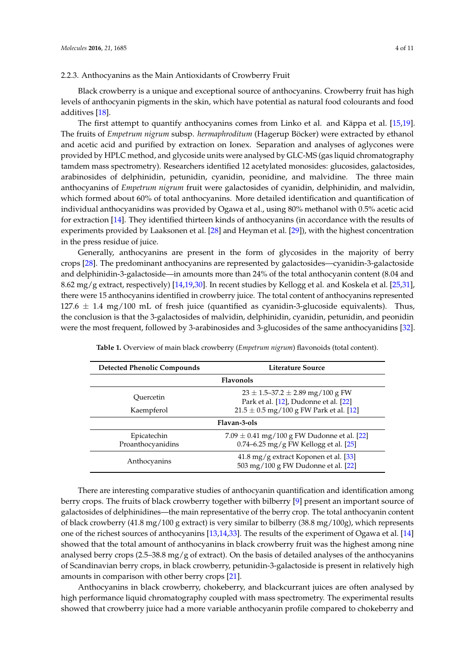#### 2.2.3. Anthocyanins as the Main Antioxidants of Crowberry Fruit

Black crowberry is a unique and exceptional source of anthocyanins. Crowberry fruit has high levels of anthocyanin pigments in the skin, which have potential as natural food colourants and food additives [\[18\]](#page-8-14).

The first attempt to quantify anthocyanins comes from Linko et al. and Käppa et al. [\[15,](#page-8-11)[19\]](#page-8-15). The fruits of *Empetrum nigrum* subsp. *hermaphroditum* (Hagerup Böcker) were extracted by ethanol and acetic acid and purified by extraction on Ionex. Separation and analyses of aglycones were provided by HPLC method, and glycoside units were analysed by GLC-MS (gas liquid chromatography tamdem mass spectrometry). Researchers identified 12 acetylated monosides: glucosides, galactosides, arabinosides of delphinidin, petunidin, cyanidin, peonidine, and malvidine. The three main anthocyanins of *Empetrum nigrum* fruit were galactosides of cyanidin, delphinidin, and malvidin, which formed about 60% of total anthocyanins. More detailed identification and quantification of individual anthocyanidins was provided by Ogawa et al., using 80% methanol with 0.5% acetic acid for extraction [\[14\]](#page-8-10). They identified thirteen kinds of anthocyanins (in accordance with the results of experiments provided by Laaksonen et al. [\[28\]](#page-9-5) and Heyman et al. [\[29\]](#page-9-6)), with the highest concentration in the press residue of juice.

Generally, anthocyanins are present in the form of glycosides in the majority of berry crops [\[28\]](#page-9-5). The predominant anthocyanins are represented by galactosides—cyanidin-3-galactoside and delphinidin-3-galactoside—in amounts more than 24% of the total anthocyanin content (8.04 and 8.62 mg/g extract, respectively) [\[14,](#page-8-10)[19,](#page-8-15)[30\]](#page-9-7). In recent studies by Kellogg et al. and Koskela et al. [\[25](#page-9-3)[,31\]](#page-9-8), there were 15 anthocyanins identified in crowberry juice. The total content of anthocyanins represented 127.6  $\pm$  1.4 mg/100 mL of fresh juice (quantified as cyanidin-3-glucoside equivalents). Thus, the conclusion is that the 3-galactosides of malvidin, delphinidin, cyanidin, petunidin, and peonidin were the most frequent, followed by 3-arabinosides and 3-glucosides of the same anthocyanidins [\[32\]](#page-9-9).

<span id="page-3-0"></span>

| <b>Detected Phenolic Compounds</b> | Literature Source                                                                          |  |
|------------------------------------|--------------------------------------------------------------------------------------------|--|
| <b>Flavonols</b>                   |                                                                                            |  |
| Ouercetin                          | $23 \pm 1.5 - 37.2 \pm 2.89$ mg/100 g FW<br>Park et al. [12], Dudonne et al. [22]          |  |
| Kaempferol                         | $21.5 \pm 0.5$ mg/100 g FW Park et al. [12]                                                |  |
|                                    | Flavan-3-ols                                                                               |  |
| Epicatechin<br>Proanthocyanidins   | 7.09 $\pm$ 0.41 mg/100 g FW Dudonne et al. [22]<br>0.74–6.25 mg/g FW Kellogg et al. $[25]$ |  |
| Anthocyanins                       | $41.8 \text{ mg/g}$ extract Koponen et al. [33]<br>503 mg/100 g FW Dudonne et al. [22]     |  |

**Table 1.** Overview of main black crowberry (*Empetrum nigrum*) flavonoids (total content).

There are interesting comparative studies of anthocyanin quantification and identification among berry crops. The fruits of black crowberry together with bilberry [\[9\]](#page-8-5) present an important source of galactosides of delphinidines—the main representative of the berry crop. The total anthocyanin content of black crowberry (41.8 mg/100 g extract) is very similar to bilberry (38.8 mg/100g), which represents one of the richest sources of anthocyanins [\[13](#page-8-9)[,14,](#page-8-10)[33\]](#page-9-10). The results of the experiment of Ogawa et al. [\[14\]](#page-8-10) showed that the total amount of anthocyanins in black crowberry fruit was the highest among nine analysed berry crops (2.5–38.8 mg/g of extract). On the basis of detailed analyses of the anthocyanins of Scandinavian berry crops, in black crowberry, petunidin-3-galactoside is present in relatively high amounts in comparison with other berry crops [\[21\]](#page-8-17).

Anthocyanins in black crowberry, chokeberry, and blackcurrant juices are often analysed by high performance liquid chromatography coupled with mass spectrometry. The experimental results showed that crowberry juice had a more variable anthocyanin profile compared to chokeberry and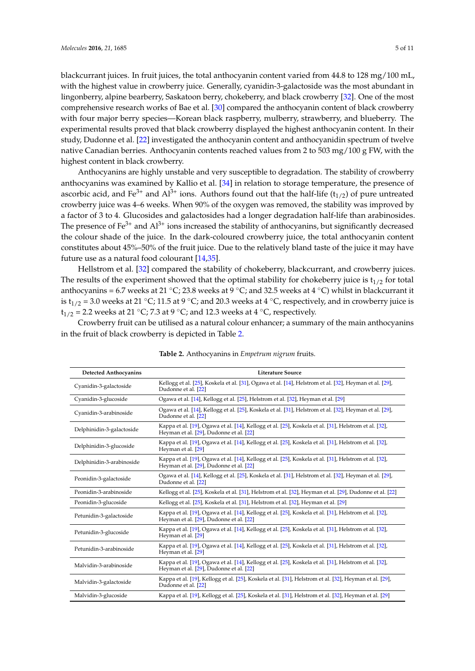blackcurrant juices. In fruit juices, the total anthocyanin content varied from 44.8 to 128 mg/100 mL, with the highest value in crowberry juice. Generally, cyanidin-3-galactoside was the most abundant in lingonberry, alpine bearberry, Saskatoon berry, chokeberry, and black crowberry [\[32\]](#page-9-9). One of the most comprehensive research works of Bae et al. [\[30\]](#page-9-7) compared the anthocyanin content of black crowberry with four major berry species—Korean black raspberry, mulberry, strawberry, and blueberry. The experimental results proved that black crowberry displayed the highest anthocyanin content. In their

study, Dudonne et al. [\[22\]](#page-8-18) investigated the anthocyanin content and anthocyanidin spectrum of twelve native Canadian berries. Anthocyanin contents reached values from 2 to 503 mg/100 g FW, with the highest content in black crowberry. Anthocyanins are highly unstable and very susceptible to degradation. The stability of crowberry

anthocyanins was examined by Kallio et al. [\[34\]](#page-9-11) in relation to storage temperature, the presence of ascorbic acid, and Fe<sup>3+</sup> and Al<sup>3+</sup> ions. Authors found out that the half-life ( $t_{1/2}$ ) of pure untreated crowberry juice was 4–6 weeks. When 90% of the oxygen was removed, the stability was improved by a factor of 3 to 4. Glucosides and galactosides had a longer degradation half-life than arabinosides. The presence of  $Fe<sup>3+</sup>$  and  $Al<sup>3+</sup>$  ions increased the stability of anthocyanins, but significantly decreased the colour shade of the juice. In the dark-coloured crowberry juice, the total anthocyanin content constitutes about 45%–50% of the fruit juice. Due to the relatively bland taste of the juice it may have future use as a natural food colourant [\[14](#page-8-10)[,35\]](#page-9-12).

Hellstrom et al. [\[32\]](#page-9-9) compared the stability of chokeberry, blackcurrant, and crowberry juices. The results of the experiment showed that the optimal stability for chokeberry juice is  $t_{1/2}$  for total anthocyanins = 6.7 weeks at 21 °C; 23.8 weeks at 9 °C; and 32.5 weeks at 4 °C) whilst in blackcurrant it is  $t_{1/2}$  = 3.0 weeks at 21 °C; 11.5 at 9 °C; and 20.3 weeks at 4 °C, respectively, and in crowberry juice is  $t_{1/2}$  = 2.2 weeks at 21 °C; 7.3 at 9 °C; and 12.3 weeks at 4 °C, respectively.

Crowberry fruit can be utilised as a natural colour enhancer; a summary of the main anthocyanins in the fruit of black crowberry is depicted in Table [2.](#page-4-0)

<span id="page-4-0"></span>

| <b>Detected Anthocyanins</b> | Literature Source                                                                                                                                |
|------------------------------|--------------------------------------------------------------------------------------------------------------------------------------------------|
| Cyanidin-3-galactoside       | Kellogg et al. [25], Koskela et al. [31], Ogawa et al. [14], Helstrom et al. [32], Heyman et al. [29],<br>Dudonne et al. [22]                    |
| Cyanidin-3-glucoside         | Ogawa et al. [14], Kellogg et al. [25], Helstrom et al. [32], Heyman et al. [29]                                                                 |
| Cyanidin-3-arabinoside       | Ogawa et al. [14], Kellogg et al. [25], Koskela et al. [31], Helstrom et al. [32], Heyman et al. [29],<br>Dudonne et al. [22]                    |
| Delphinidin-3-galactoside    | Kappa et al. [19], Ogawa et al. [14], Kellogg et al. [25], Koskela et al. [31], Helstrom et al. [32],<br>Heyman et al. [29], Dudonne et al. [22] |
| Delphinidin-3-glucoside      | Kappa et al. [19], Ogawa et al. [14], Kellogg et al. [25], Koskela et al. [31], Helstrom et al. [32],<br>Heyman et al. [29]                      |
| Delphinidin-3-arabinoside    | Kappa et al. [19], Ogawa et al. [14], Kellogg et al. [25], Koskela et al. [31], Helstrom et al. [32],<br>Heyman et al. [29], Dudonne et al. [22] |
| Peonidin-3-galactoside       | Ogawa et al. [14], Kellogg et al. [25], Koskela et al. [31], Helstrom et al. [32], Heyman et al. [29],<br>Dudonne et al. [22]                    |
| Peonidin-3-arabinoside       | Kellogg et al. [25], Koskela et al. [31], Helstrom et al. [32], Heyman et al. [29], Dudonne et al. [22]                                          |
| Peonidin-3-glucoside         | Kellogg et al. [25], Koskela et al. [31], Helstrom et al. [32], Heyman et al. [29]                                                               |
| Petunidin-3-galactoside      | Kappa et al. [19], Ogawa et al. [14], Kellogg et al. [25], Koskela et al. [31], Helstrom et al. [32],<br>Heyman et al. [29], Dudonne et al. [22] |
| Petunidin-3-glucoside        | Kappa et al. [19], Ogawa et al. [14], Kellogg et al. [25], Koskela et al. [31], Helstrom et al. [32],<br>Heyman et al. [29]                      |
| Petunidin-3-arabinoside      | Kappa et al. [19], Ogawa et al. [14], Kellogg et al. [25], Koskela et al. [31], Helstrom et al. [32],<br>Heyman et al. [29]                      |
| Malvidin-3-arabinoside       | Kappa et al. [19], Ogawa et al. [14], Kellogg et al. [25], Koskela et al. [31], Helstrom et al. [32],<br>Heyman et al. [29], Dudonne et al. [22] |
| Malvidin-3-galactoside       | Kappa et al. [19], Kellogg et al. [25], Koskela et al. [31], Helstrom et al. [32], Heyman et al. [29],<br>Dudonne et al. [22]                    |
| Malvidin-3-glucoside         | Kappa et al. [19], Kellogg et al. [25], Koskela et al. [31], Helstrom et al. [32], Heyman et al. [29]                                            |

### **Table 2.** Anthocyanins in *Empetrum nigrum* fruits.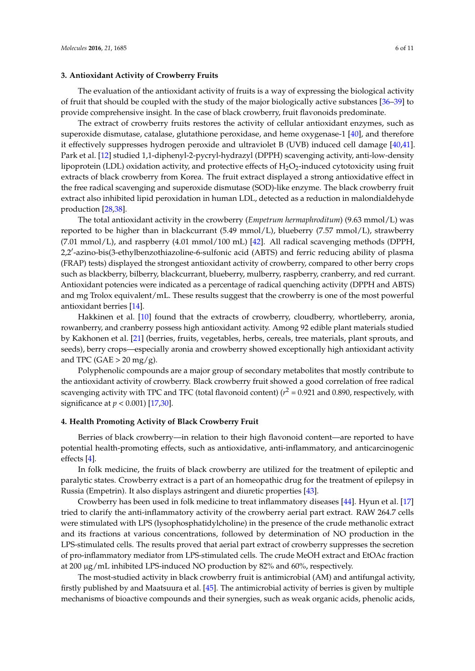#### **3. Antioxidant Activity of Crowberry Fruits**

The evaluation of the antioxidant activity of fruits is a way of expressing the biological activity of fruit that should be coupled with the study of the major biologically active substances [\[36–](#page-9-13)[39\]](#page-9-14) to provide comprehensive insight. In the case of black crowberry, fruit flavonoids predominate.

The extract of crowberry fruits restores the activity of cellular antioxidant enzymes, such as superoxide dismutase, catalase, glutathione peroxidase, and heme oxygenase-1 [\[40\]](#page-9-15), and therefore it effectively suppresses hydrogen peroxide and ultraviolet B (UVB) induced cell damage [\[40,](#page-9-15)[41\]](#page-9-16). Park et al. [\[12\]](#page-8-8) studied 1,1-diphenyl-2-pycryl-hydrazyl (DPPH) scavenging activity, anti-low-density lipoprotein (LDL) oxidation activity, and protective effects of  $H_2O_2$ -induced cytotoxicity using fruit extracts of black crowberry from Korea. The fruit extract displayed a strong antioxidative effect in the free radical scavenging and superoxide dismutase (SOD)-like enzyme. The black crowberry fruit extract also inhibited lipid peroxidation in human LDL, detected as a reduction in malondialdehyde production [\[28,](#page-9-5)[38\]](#page-9-17).

The total antioxidant activity in the crowberry (*Empetrum hermaphroditum*) (9.63 mmol/L) was reported to be higher than in blackcurrant (5.49 mmol/L), blueberry (7.57 mmol/L), strawberry (7.01 mmol/L), and raspberry (4.01 mmol/100 mL) [\[42\]](#page-9-18). All radical scavenging methods (DPPH, 2,2'-azino-bis(3-ethylbenzothiazoline-6-sulfonic acid (ABTS) and ferric reducing ability of plasma (FRAP) tests) displayed the strongest antioxidant activity of crowberry, compared to other berry crops such as blackberry, bilberry, blackcurrant, blueberry, mulberry, raspberry, cranberry, and red currant. Antioxidant potencies were indicated as a percentage of radical quenching activity (DPPH and ABTS) and mg Trolox equivalent/mL. These results suggest that the crowberry is one of the most powerful antioxidant berries [\[14\]](#page-8-10).

Hakkinen et al. [\[10\]](#page-8-6) found that the extracts of crowberry, cloudberry, whortleberry, aronia, rowanberry, and cranberry possess high antioxidant activity. Among 92 edible plant materials studied by Kakhonen et al. [\[21\]](#page-8-17) (berries, fruits, vegetables, herbs, cereals, tree materials, plant sprouts, and seeds), berry crops—especially aronia and crowberry showed exceptionally high antioxidant activity and TPC (GAE  $>$  20 mg/g).

Polyphenolic compounds are a major group of secondary metabolites that mostly contribute to the antioxidant activity of crowberry. Black crowberry fruit showed a good correlation of free radical scavenging activity with TPC and TFC (total flavonoid content) ( $r^2$  = 0.921 and 0.890, respectively, with significance at *p* < 0.001) [\[17,](#page-8-13)[30\]](#page-9-7).

### **4. Health Promoting Activity of Black Crowberry Fruit**

Berries of black crowberry—in relation to their high flavonoid content—are reported to have potential health-promoting effects, such as antioxidative, anti-inflammatory, and anticarcinogenic effects [\[4\]](#page-8-0).

In folk medicine, the fruits of black crowberry are utilized for the treatment of epileptic and paralytic states. Crowberry extract is a part of an homeopathic drug for the treatment of epilepsy in Russia (Empetrin). It also displays astringent and diuretic properties [\[43\]](#page-9-19).

Crowberry has been used in folk medicine to treat inflammatory diseases [\[44\]](#page-10-0). Hyun et al. [\[17\]](#page-8-13) tried to clarify the anti-inflammatory activity of the crowberry aerial part extract. RAW 264.7 cells were stimulated with LPS (lysophosphatidylcholine) in the presence of the crude methanolic extract and its fractions at various concentrations, followed by determination of NO production in the LPS-stimulated cells. The results proved that aerial part extract of crowberry suppresses the secretion of pro-inflammatory mediator from LPS-stimulated cells. The crude MeOH extract and EtOAc fraction at 200 µg/mL inhibited LPS-induced NO production by 82% and 60%, respectively.

The most-studied activity in black crowberry fruit is antimicrobial (AM) and antifungal activity, firstly published by and Maatsuura et al. [\[45\]](#page-10-1). The antimicrobial activity of berries is given by multiple mechanisms of bioactive compounds and their synergies, such as weak organic acids, phenolic acids,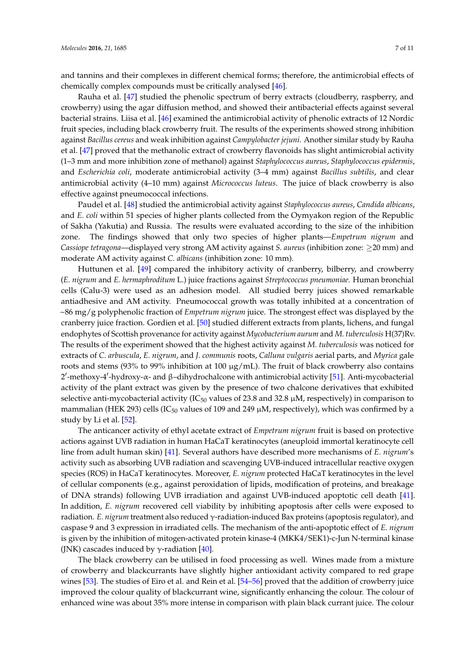and tannins and their complexes in different chemical forms; therefore, the antimicrobial effects of chemically complex compounds must be critically analysed [\[46\]](#page-10-2).

Rauha et al. [\[47\]](#page-10-3) studied the phenolic spectrum of berry extracts (cloudberry, raspberry, and crowberry) using the agar diffusion method, and showed their antibacterial effects against several bacterial strains. Liisa et al. [\[46\]](#page-10-2) examined the antimicrobial activity of phenolic extracts of 12 Nordic fruit species, including black crowberry fruit. The results of the experiments showed strong inhibition against *Bacillus cereus* and weak inhibition against *Campylobacter jejuni*. Another similar study by Rauha et al. [\[47\]](#page-10-3) proved that the methanolic extract of crowberry flavonoids has slight antimicrobial activity (1–3 mm and more inhibition zone of methanol) against *Staphylococcus aureus*, *Staphylococcus epidermis*, and *Escherichia coli*, moderate antimicrobial activity (3–4 mm) against *Bacillus subtilis*, and clear antimicrobial activity (4–10 mm) against *Micrococcus luteus*. The juice of black crowberry is also effective against pneumococcal infections.

Paudel et al. [\[48\]](#page-10-4) studied the antimicrobial activity against *Staphylococcus aureus*, *Candida albicans*, and *E. coli* within 51 species of higher plants collected from the Oymyakon region of the Republic of Sakha (Yakutia) and Russia. The results were evaluated according to the size of the inhibition zone. The findings showed that only two species of higher plants—*Empetrum nigrum* and *Cassiope tetragona*—displayed very strong AM activity against *S. aureus* (inhibition zone: ≥20 mm) and moderate AM activity against *C. albicans* (inhibition zone: 10 mm).

Huttunen et al. [\[49\]](#page-10-5) compared the inhibitory activity of cranberry, bilberry, and crowberry (*E. nigrum* and *E. hermaphroditum* L.) juice fractions against *Streptococcus pneumoniae.* Human bronchial cells (Calu-3) were used as an adhesion model. All studied berry juices showed remarkable antiadhesive and AM activity. Pneumococcal growth was totally inhibited at a concentration of ~86 mg/g polyphenolic fraction of *Empetrum nigrum* juice. The strongest effect was displayed by the cranberry juice fraction. Gordien et al. [\[50\]](#page-10-6) studied different extracts from plants, lichens, and fungal endophytes of Scottish provenance for activity against *Mycobacterium aurum* and *M. tuberculosis* H(37)Rv. The results of the experiment showed that the highest activity against *M. tuberculosis* was noticed for extracts of *C. arbuscula*, *E. nigrum*, and *J. communis* roots, *Calluna vulgaris* aerial parts, and *Myrica* gale roots and stems (93% to 99% inhibition at 100  $\mu$ g/mL). The fruit of black crowberry also contains 2'-methoxy-4'-hydroxy-α- and β-dihydrochalcone with antimicrobial activity [\[51\]](#page-10-7). Anti-mycobacterial activity of the plant extract was given by the presence of two chalcone derivatives that exhibited selective anti-mycobacterial activity ( $IC_{50}$  values of 23.8 and 32.8  $\mu$ M, respectively) in comparison to mammalian (HEK 293) cells (IC $_{50}$  values of 109 and 249  $\mu$ M, respectively), which was confirmed by a study by Li et al. [\[52\]](#page-10-8).

The anticancer activity of ethyl acetate extract of *Empetrum nigrum* fruit is based on protective actions against UVB radiation in human HaCaT keratinocytes (aneuploid immortal keratinocyte cell line from adult human skin) [\[41\]](#page-9-16). Several authors have described more mechanisms of *E. nigrum*'s activity such as absorbing UVB radiation and scavenging UVB-induced intracellular reactive oxygen species (ROS) in HaCaT keratinocytes. Moreover, *E. nigrum* protected HaCaT keratinocytes in the level of cellular components (e.g., against peroxidation of lipids, modification of proteins, and breakage of DNA strands) following UVB irradiation and against UVB-induced apoptotic cell death [\[41\]](#page-9-16). In addition, *E. nigrum* recovered cell viability by inhibiting apoptosis after cells were exposed to radiation. *E. nigrum* treatment also reduced γ-radiation-induced Bax proteins (apoptosis regulator), and caspase 9 and 3 expression in irradiated cells. The mechanism of the anti-apoptotic effect of *E. nigrum* is given by the inhibition of mitogen-activated protein kinase-4 (MKK4/SEK1)-c-Jun N-terminal kinase (JNK) cascades induced by  $\gamma$ -radiation [\[40\]](#page-9-15).

The black crowberry can be utilised in food processing as well. Wines made from a mixture of crowberry and blackcurrants have slightly higher antioxidant activity compared to red grape wines [\[53\]](#page-10-9). The studies of Eiro et al. and Rein et al. [\[54](#page-10-10)[–56\]](#page-10-11) proved that the addition of crowberry juice improved the colour quality of blackcurrant wine, significantly enhancing the colour. The colour of enhanced wine was about 35% more intense in comparison with plain black currant juice. The colour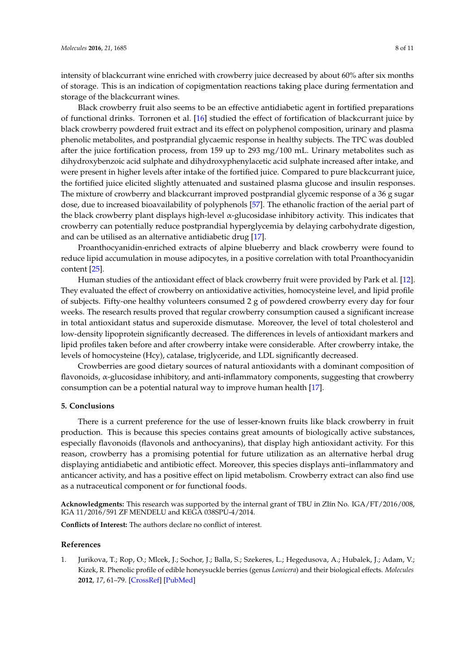intensity of blackcurrant wine enriched with crowberry juice decreased by about 60% after six months of storage. This is an indication of copigmentation reactions taking place during fermentation and storage of the blackcurrant wines.

Black crowberry fruit also seems to be an effective antidiabetic agent in fortified preparations of functional drinks. Torronen et al. [\[16\]](#page-8-12) studied the effect of fortification of blackcurrant juice by black crowberry powdered fruit extract and its effect on polyphenol composition, urinary and plasma phenolic metabolites, and postprandial glycaemic response in healthy subjects. The TPC was doubled after the juice fortification process, from 159 up to 293 mg/100 mL. Urinary metabolites such as dihydroxybenzoic acid sulphate and dihydroxyphenylacetic acid sulphate increased after intake, and were present in higher levels after intake of the fortified juice. Compared to pure blackcurrant juice, the fortified juice elicited slightly attenuated and sustained plasma glucose and insulin responses. The mixture of crowberry and blackcurrant improved postprandial glycemic response of a 36 g sugar dose, due to increased bioavailability of polyphenols [\[57\]](#page-10-12). The ethanolic fraction of the aerial part of the black crowberry plant displays high-level  $\alpha$ -glucosidase inhibitory activity. This indicates that crowberry can potentially reduce postprandial hyperglycemia by delaying carbohydrate digestion, and can be utilised as an alternative antidiabetic drug [\[17\]](#page-8-13).

Proanthocyanidin-enriched extracts of alpine blueberry and black crowberry were found to reduce lipid accumulation in mouse adipocytes, in a positive correlation with total Proanthocyanidin content [\[25\]](#page-9-3).

Human studies of the antioxidant effect of black crowberry fruit were provided by Park et al. [\[12\]](#page-8-8). They evaluated the effect of crowberry on antioxidative activities, homocysteine level, and lipid profile of subjects. Fifty-one healthy volunteers consumed 2 g of powdered crowberry every day for four weeks. The research results proved that regular crowberry consumption caused a significant increase in total antioxidant status and superoxide dismutase. Moreover, the level of total cholesterol and low-density lipoprotein significantly decreased. The differences in levels of antioxidant markers and lipid profiles taken before and after crowberry intake were considerable. After crowberry intake, the levels of homocysteine (Hcy), catalase, triglyceride, and LDL significantly decreased.

Crowberries are good dietary sources of natural antioxidants with a dominant composition of flavonoids,  $\alpha$ -glucosidase inhibitory, and anti-inflammatory components, suggesting that crowberry consumption can be a potential natural way to improve human health [\[17\]](#page-8-13).

#### **5. Conclusions**

There is a current preference for the use of lesser-known fruits like black crowberry in fruit production. This is because this species contains great amounts of biologically active substances, especially flavonoids (flavonols and anthocyanins), that display high antioxidant activity. For this reason, crowberry has a promising potential for future utilization as an alternative herbal drug displaying antidiabetic and antibiotic effect. Moreover, this species displays anti–inflammatory and anticancer activity, and has a positive effect on lipid metabolism. Crowberry extract can also find use as a nutraceutical component or for functional foods.

**Acknowledgments:** This research was supported by the internal grant of TBU in Zlín No. IGA/FT/2016/008, IGA 11/2016/591 ZF MENDELU and KEGA 038SPU-4/2014.

**Conflicts of Interest:** The authors declare no conflict of interest.

#### **References**

<span id="page-7-0"></span>1. Jurikova, T.; Rop, O.; Mlcek, J.; Sochor, J.; Balla, S.; Szekeres, L.; Hegedusova, A.; Hubalek, J.; Adam, V.; Kizek, R. Phenolic profile of edible honeysuckle berries (genus *Lonicera*) and their biological effects. *Molecules* **2012**, *17*, 61–79. [\[CrossRef\]](http://dx.doi.org/10.3390/molecules17010061) [\[PubMed\]](http://www.ncbi.nlm.nih.gov/pubmed/22269864)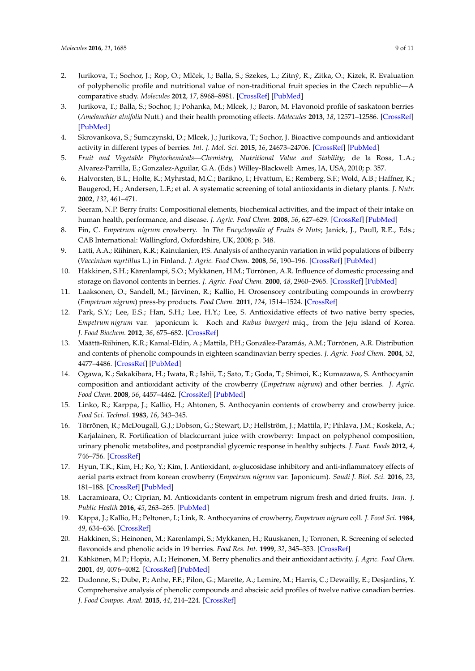- 2. Jurikova, T.; Sochor, J.; Rop, O.; Mlček, J.; Balla, S.; Szekes, L.; Zitný, R.; Zitka, O.; Kizek, R. Evaluation of polyphenolic profile and nutritional value of non-traditional fruit species in the Czech republic—A comparative study. *Molecules* **2012**, *17*, 8968–8981. [\[CrossRef\]](http://dx.doi.org/10.3390/molecules17088968) [\[PubMed\]](http://www.ncbi.nlm.nih.gov/pubmed/22842642)
- <span id="page-8-19"></span>3. Jurikova, T.; Balla, S.; Sochor, J.; Pohanka, M.; Mlcek, J.; Baron, M. Flavonoid profile of saskatoon berries (*Amelanchier alnifolia* Nutt.) and their health promoting effects. *Molecules* **2013**, *18*, 12571–12586. [\[CrossRef\]](http://dx.doi.org/10.3390/molecules181012571) [\[PubMed\]](http://www.ncbi.nlm.nih.gov/pubmed/24126375)
- <span id="page-8-0"></span>4. Skrovankova, S.; Sumczynski, D.; Mlcek, J.; Jurikova, T.; Sochor, J. Bioactive compounds and antioxidant activity in different types of berries. *Int. J. Mol. Sci.* **2015**, *16*, 24673–24706. [\[CrossRef\]](http://dx.doi.org/10.3390/ijms161024673) [\[PubMed\]](http://www.ncbi.nlm.nih.gov/pubmed/26501271)
- <span id="page-8-1"></span>5. *Fruit and Vegetable Phytochemicals—Chemistry, Nutritional Value and Stability*; de la Rosa, L.A.; Alvarez-Parrilla, E.; Gonzalez-Aguilar, G.A. (Eds.) Willey-Blackwell: Ames, IA, USA, 2010; p. 357.
- <span id="page-8-2"></span>6. Halvorsten, B.L.; Holte, K.; Myhrstad, M.C.; Barikno, I.; Hvattum, E.; Remberg, S.F.; Wold, A.B.; Haffner, K.; Baugerod, H.; Andersen, L.F.; et al. A systematic screening of total antioxidants in dietary plants. *J. Nutr.* **2002**, *132*, 461–471.
- <span id="page-8-3"></span>7. Seeram, N.P. Berry fruits: Compositional elements, biochemical activities, and the impact of their intake on human health, performance, and disease. *J. Agric. Food Chem.* **2008**, *56*, 627–629. [\[CrossRef\]](http://dx.doi.org/10.1021/jf071988k) [\[PubMed\]](http://www.ncbi.nlm.nih.gov/pubmed/18211023)
- <span id="page-8-4"></span>8. Fin, C. *Empetrum nigrum* crowberry. In *The Encyclopedia of Fruits & Nuts*; Janick, J., Paull, R.E., Eds.; CAB International: Wallingford, Oxfordshire, UK, 2008; p. 348.
- <span id="page-8-5"></span>9. Latti, A.A.; Riihinen, K.R.; Kainulanien, P.S. Analysis of anthocyanin variation in wild populations of bilberry (*Vaccinium myrtillus* L.) in Finland. *J. Agric. Food Chem.* **2008**, *56*, 190–196. [\[CrossRef\]](http://dx.doi.org/10.1021/jf072857m) [\[PubMed\]](http://www.ncbi.nlm.nih.gov/pubmed/18072741)
- <span id="page-8-6"></span>10. Häkkinen, S.H.; Kärenlampi, S.O.; Mykkänen, H.M.; Törrönen, A.R. Influence of domestic processing and storage on flavonol contents in berries. *J. Agric. Food Chem.* **2000**, *48*, 2960–2965. [\[CrossRef\]](http://dx.doi.org/10.1021/jf991274c) [\[PubMed\]](http://www.ncbi.nlm.nih.gov/pubmed/11032486)
- <span id="page-8-7"></span>11. Laaksonen, O.; Sandell, M.; Järvinen, R.; Kallio, H. Orosensory contributing compounds in crowberry (*Empetrum nigrum*) press-by products. *Food Chem.* **2011**, *124*, 1514–1524. [\[CrossRef\]](http://dx.doi.org/10.1016/j.foodchem.2010.08.005)
- <span id="page-8-8"></span>12. Park, S.Y.; Lee, E.S.; Han, S.H.; Lee, H.Y.; Lee, S. Antioxidative effects of two native berry species, *Empetrum nigrum* var. japonicum k. Koch and *Rubus buergeri* miq., from the Jeju island of Korea. *J. Food Biochem.* **2012**, *36*, 675–682. [\[CrossRef\]](http://dx.doi.org/10.1111/j.1745-4514.2011.00582.x)
- <span id="page-8-9"></span>13. Määttä-Riihinen, K.R.; Kamal-Eldin, A.; Mattila, P.H.; González-Paramás, A.M.; Törrönen, A.R. Distribution and contents of phenolic compounds in eighteen scandinavian berry species. *J. Agric. Food Chem.* **2004**, *52*, 4477–4486. [\[CrossRef\]](http://dx.doi.org/10.1021/jf049595y) [\[PubMed\]](http://www.ncbi.nlm.nih.gov/pubmed/15237955)
- <span id="page-8-10"></span>14. Ogawa, K.; Sakakibara, H.; Iwata, R.; Ishii, T.; Sato, T.; Goda, T.; Shimoi, K.; Kumazawa, S. Anthocyanin composition and antioxidant activity of the crowberry (*Empetrum nigrum*) and other berries. *J. Agric. Food Chem.* **2008**, *56*, 4457–4462. [\[CrossRef\]](http://dx.doi.org/10.1021/jf800406v) [\[PubMed\]](http://www.ncbi.nlm.nih.gov/pubmed/18522397)
- <span id="page-8-11"></span>15. Linko, R.; Karppa, J.; Kallio, H.; Ahtonen, S. Anthocyanin contents of crowberry and crowberry juice. *Food Sci. Technol.* **1983**, *16*, 343–345.
- <span id="page-8-12"></span>16. Törrönen, R.; McDougall, G.J.; Dobson, G.; Stewart, D.; Hellström, J.; Mattila, P.; Pihlava, J.M.; Koskela, A.; Karjalainen, R. Fortification of blackcurrant juice with crowberry: Impact on polyphenol composition, urinary phenolic metabolites, and postprandial glycemic response in healthy subjects. *J. Funt. Foods* **2012**, *4*, 746–756. [\[CrossRef\]](http://dx.doi.org/10.1016/j.jff.2012.05.001)
- <span id="page-8-13"></span>17. Hyun, T.K.; Kim, H.; Ko, Y.; Kim, J. Antioxidant, α-glucosidase inhibitory and anti-inflammatory effects of aerial parts extract from korean crowberry (*Empetrum nigrum* var. Japonicum). *Saudi J. Biol. Sci.* **2016**, *23*, 181–188. [\[CrossRef\]](http://dx.doi.org/10.1016/j.sjbs.2015.02.008) [\[PubMed\]](http://www.ncbi.nlm.nih.gov/pubmed/26980998)
- <span id="page-8-14"></span>18. Lacramioara, O.; Ciprian, M. Antioxidants content in empetrum nigrum fresh and dried fruits. *Iran. J. Public Health* **2016**, *45*, 263–265. [\[PubMed\]](http://www.ncbi.nlm.nih.gov/pubmed/27114994)
- <span id="page-8-15"></span>19. Käppä, J.; Kallio, H.; Peltonen, I.; Link, R. Anthocyanins of crowberry, *Empetrum nigrum* coll. *J. Food Sci.* **1984**, *49*, 634–636. [\[CrossRef\]](http://dx.doi.org/10.1111/j.1365-2621.1984.tb12486.x)
- <span id="page-8-16"></span>20. Hakkinen, S.; Heinonen, M.; Karenlampi, S.; Mykkanen, H.; Ruuskanen, J.; Torronen, R. Screening of selected flavonoids and phenolic acids in 19 berries. *Food Res. Int.* **1999**, *32*, 345–353. [\[CrossRef\]](http://dx.doi.org/10.1016/S0963-9969(99)00095-2)
- <span id="page-8-17"></span>21. Kähkönen, M.P.; Hopia, A.I.; Heinonen, M. Berry phenolics and their antioxidant activity. *J. Agric. Food Chem.* **2001**, *49*, 4076–4082. [\[CrossRef\]](http://dx.doi.org/10.1021/jf010152t) [\[PubMed\]](http://www.ncbi.nlm.nih.gov/pubmed/11513713)
- <span id="page-8-18"></span>22. Dudonne, S.; Dube, P.; Anhe, F.F.; Pilon, G.; Marette, A.; Lemire, M.; Harris, C.; Dewailly, E.; Desjardins, Y. Comprehensive analysis of phenolic compounds and abscisic acid profiles of twelve native canadian berries. *J. Food Compos. Anal.* **2015**, *44*, 214–224. [\[CrossRef\]](http://dx.doi.org/10.1016/j.jfca.2015.09.003)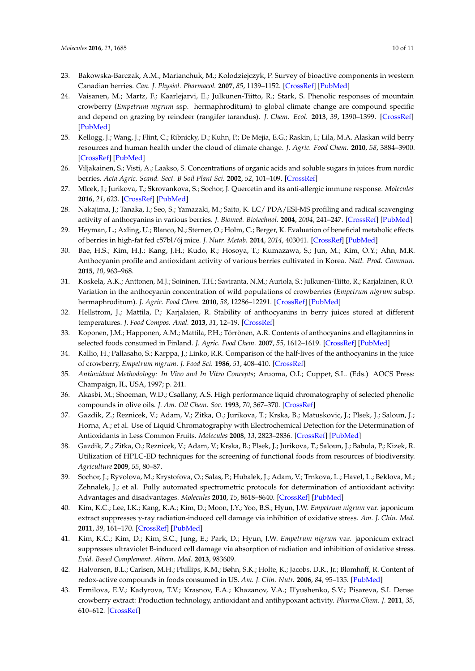- <span id="page-9-0"></span>23. Bakowska-Barczak, A.M.; Marianchuk, M.; Kolodziejczyk, P. Survey of bioactive components in western Canadian berries. *Can. J. Physiol. Pharmacol.* **2007**, *85*, 1139–1152. [\[CrossRef\]](http://dx.doi.org/10.1139/Y07-102) [\[PubMed\]](http://www.ncbi.nlm.nih.gov/pubmed/18066116)
- <span id="page-9-1"></span>24. Vaisanen, M.; Martz, F.; Kaarlejarvi, E.; Julkunen-Tiitto, R.; Stark, S. Phenolic responses of mountain crowberry (*Empetrum nigrum* ssp. hermaphroditum) to global climate change are compound specific and depend on grazing by reindeer (rangifer tarandus). *J. Chem. Ecol.* **2013**, *39*, 1390–1399. [\[CrossRef\]](http://dx.doi.org/10.1007/s10886-013-0367-z) [\[PubMed\]](http://www.ncbi.nlm.nih.gov/pubmed/24287946)
- <span id="page-9-3"></span>25. Kellogg, J.; Wang, J.; Flint, C.; Ribnicky, D.; Kuhn, P.; De Mejia, E.G.; Raskin, I.; Lila, M.A. Alaskan wild berry resources and human health under the cloud of climate change. *J. Agric. Food Chem.* **2010**, *58*, 3884–3900. [\[CrossRef\]](http://dx.doi.org/10.1021/jf902693r) [\[PubMed\]](http://www.ncbi.nlm.nih.gov/pubmed/20025229)
- <span id="page-9-2"></span>26. Viljakainen, S.; Visti, A.; Laakso, S. Concentrations of organic acids and soluble sugars in juices from nordic berries. *Acta Agric. Scand. Sect. B Soil Plant Sci.* **2002**, *52*, 101–109. [\[CrossRef\]](http://dx.doi.org/10.1080/090647102321089846)
- <span id="page-9-4"></span>27. Mlcek, J.; Jurikova, T.; Skrovankova, S.; Sochor, J. Quercetin and its anti-allergic immune response. *Molecules* **2016**, *21*, 623. [\[CrossRef\]](http://dx.doi.org/10.3390/molecules21050623) [\[PubMed\]](http://www.ncbi.nlm.nih.gov/pubmed/27187333)
- <span id="page-9-5"></span>28. Nakajima, J.; Tanaka, I.; Seo, S.; Yamazaki, M.; Saito, K. LC/ PDA/ESI-MS profiling and radical scavenging activity of anthocyanins in various berries. *J. Biomed. Biotechnol.* **2004**, *2004*, 241–247. [\[CrossRef\]](http://dx.doi.org/10.1155/S1110724304404045) [\[PubMed\]](http://www.ncbi.nlm.nih.gov/pubmed/15577184)
- <span id="page-9-6"></span>29. Heyman, L.; Axling, U.; Blanco, N.; Sterner, O.; Holm, C.; Berger, K. Evaluation of beneficial metabolic effects of berries in high-fat fed c57bl/6j mice. *J. Nutr. Metab.* **2014**, *2014*, 403041. [\[CrossRef\]](http://dx.doi.org/10.1155/2014/403041) [\[PubMed\]](http://www.ncbi.nlm.nih.gov/pubmed/24669315)
- <span id="page-9-7"></span>30. Bae, H.S.; Kim, H.J.; Kang, J.H.; Kudo, R.; Hosoya, T.; Kumazawa, S.; Jun, M.; Kim, O.Y.; Ahn, M.R. Anthocyanin profile and antioxidant activity of various berries cultivated in Korea. *Natl. Prod. Commun.* **2015**, *10*, 963–968.
- <span id="page-9-8"></span>31. Koskela, A.K.; Anttonen, M.J.; Soininen, T.H.; Saviranta, N.M.; Auriola, S.; Julkunen-Tiitto, R.; Karjalainen, R.O. Variation in the anthocyanin concentration of wild populations of crowberries (*Empetrum nigrum* subsp. hermaphroditum). *J. Agric. Food Chem.* **2010**, *58*, 12286–12291. [\[CrossRef\]](http://dx.doi.org/10.1021/jf1037695) [\[PubMed\]](http://www.ncbi.nlm.nih.gov/pubmed/21058654)
- <span id="page-9-9"></span>32. Hellstrom, J.; Mattila, P.; Karjalaien, R. Stability of anthocyanins in berry juices stored at different temperatures. *J. Food Compos. Anal.* **2013**, *31*, 12–19. [\[CrossRef\]](http://dx.doi.org/10.1016/j.jfca.2013.02.010)
- <span id="page-9-10"></span>33. Koponen, J.M.; Happonen, A.M.; Mattila, P.H.; Törrönen, A.R. Contents of anthocyanins and ellagitannins in selected foods consumed in Finland. *J. Agric. Food Chem.* **2007**, *55*, 1612–1619. [\[CrossRef\]](http://dx.doi.org/10.1021/jf062897a) [\[PubMed\]](http://www.ncbi.nlm.nih.gov/pubmed/17261015)
- <span id="page-9-11"></span>34. Kallio, H.; Pallasaho, S.; Karppa, J.; Linko, R.R. Comparison of the half-lives of the anthocyanins in the juice of crowberry, *Empetrum nigrum*. *J. Food Sci.* **1986**, *51*, 408–410. [\[CrossRef\]](http://dx.doi.org/10.1111/j.1365-2621.1986.tb11142.x)
- <span id="page-9-12"></span>35. *Antioxidant Methodology: In Vivo and In Vitro Concepts*; Aruoma, O.I.; Cuppet, S.L. (Eds.) AOCS Press: Champaign, IL, USA, 1997; p. 241.
- <span id="page-9-13"></span>36. Akasbi, M.; Shoeman, W.D.; Csallany, A.S. High performance liquid chromatography of selected phenolic compounds in olive oils. *J. Am. Oil Chem. Soc.* **1993**, *70*, 367–370. [\[CrossRef\]](http://dx.doi.org/10.1007/BF02552708)
- 37. Gazdik, Z.; Reznicek, V.; Adam, V.; Zitka, O.; Jurikova, T.; Krska, B.; Matuskovic, J.; Plsek, J.; Saloun, J.; Horna, A.; et al. Use of Liquid Chromatography with Electrochemical Detection for the Determination of Antioxidants in Less Common Fruits. *Molecules* **2008**, *13*, 2823–2836. [\[CrossRef\]](http://dx.doi.org/10.3390/molecules131102823) [\[PubMed\]](http://www.ncbi.nlm.nih.gov/pubmed/19015622)
- <span id="page-9-17"></span>38. Gazdik, Z.; Zitka, O.; Reznicek, V.; Adam, V.; Krska, B.; Plsek, J.; Jurikova, T.; Saloun, J.; Babula, P.; Kizek, R. Utilization of HPLC-ED techniques for the screening of functional foods from resources of biodiversity. *Agriculture* **2009**, *55*, 80–87.
- <span id="page-9-14"></span>39. Sochor, J.; Ryvolova, M.; Krystofova, O.; Salas, P.; Hubalek, J.; Adam, V.; Trnkova, L.; Havel, L.; Beklova, M.; Zehnalek, J.; et al. Fully automated spectrometric protocols for determination of antioxidant activity: Advantages and disadvantages. *Molecules* **2010**, *15*, 8618–8640. [\[CrossRef\]](http://dx.doi.org/10.3390/molecules15128618) [\[PubMed\]](http://www.ncbi.nlm.nih.gov/pubmed/21116230)
- <span id="page-9-15"></span>40. Kim, K.C.; Lee, I.K.; Kang, K.A.; Kim, D.; Moon, J.Y.; Yoo, B.S.; Hyun, J.W. *Empetrum nigrum* var. japonicum extract suppresses γ-ray radiation-induced cell damage via inhibition of oxidative stress. *Am. J. Chin. Med.* **2011**, *39*, 161–170. [\[CrossRef\]](http://dx.doi.org/10.1142/S0192415X11008725) [\[PubMed\]](http://www.ncbi.nlm.nih.gov/pubmed/21213406)
- <span id="page-9-16"></span>41. Kim, K.C.; Kim, D.; Kim, S.C.; Jung, E.; Park, D.; Hyun, J.W. *Empetrum nigrum* var. japonicum extract suppresses ultraviolet B-induced cell damage via absorption of radiation and inhibition of oxidative stress. *Evid. Based Complement. Altern. Med.* **2013**, 983609.
- <span id="page-9-18"></span>42. Halvorsen, B.L.; Carlsen, M.H.; Phillips, K.M.; Bøhn, S.K.; Holte, K.; Jacobs, D.R., Jr.; Blomhoff, R. Content of redox-active compounds in foods consumed in US. *Am. J. Clin. Nutr.* **2006**, *84*, 95–135. [\[PubMed\]](http://www.ncbi.nlm.nih.gov/pubmed/16825686)
- <span id="page-9-19"></span>43. Ermilova, E.V.; Kadyrova, T.V.; Krasnov, E.A.; Khazanov, V.A.; Il'yushenko, S.V.; Pisareva, S.I. Dense crowberry extract: Production technology, antioxidant and antihypoxant activity. *Pharma.Chem. J.* **2011**, *35*, 610–612. [\[CrossRef\]](http://dx.doi.org/10.1023/A:1015197827847)